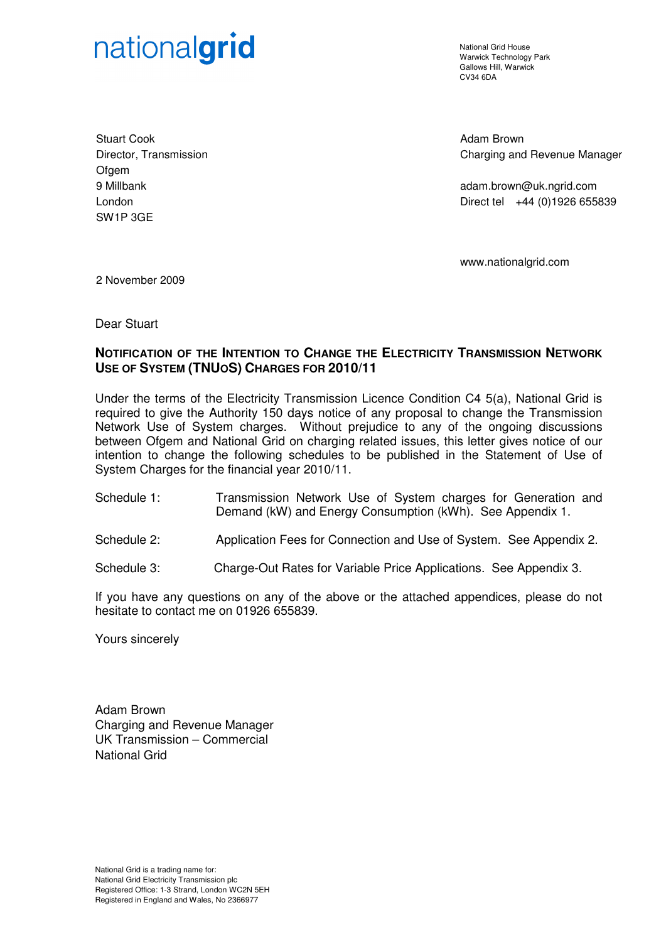# nationalgrid

National Grid House Warwick Technology Park Gallows Hill, Warwick  $C<sub>1</sub>1/34$  6DA

Stuart Cook Director, Transmission **Ofgem** 9 Millbank London SW1P 3GE

Adam Brown Charging and Revenue Manager

adam.brown@uk.ngrid.com Direct tel +44 (0)1926 655839

www.nationalgrid.com

2 November 2009

Dear Stuart

# **NOTIFICATION OF THE INTENTION TO CHANGE THE ELECTRICITY TRANSMISSION NETWORK USE OF SYSTEM (TNUOS) CHARGES FOR 2010/11**

Under the terms of the Electricity Transmission Licence Condition C4 5(a), National Grid is required to give the Authority 150 days notice of any proposal to change the Transmission Network Use of System charges. Without prejudice to any of the ongoing discussions between Ofgem and National Grid on charging related issues, this letter gives notice of our intention to change the following schedules to be published in the Statement of Use of System Charges for the financial year 2010/11.

- Schedule 1: Transmission Network Use of System charges for Generation and Demand (kW) and Energy Consumption (kWh). See Appendix 1.
- Schedule 2: Application Fees for Connection and Use of System. See Appendix 2.
- Schedule 3: Charge-Out Rates for Variable Price Applications. See Appendix 3.

If you have any questions on any of the above or the attached appendices, please do not hesitate to contact me on 01926 655839.

Yours sincerely

Adam Brown Charging and Revenue Manager UK Transmission – Commercial National Grid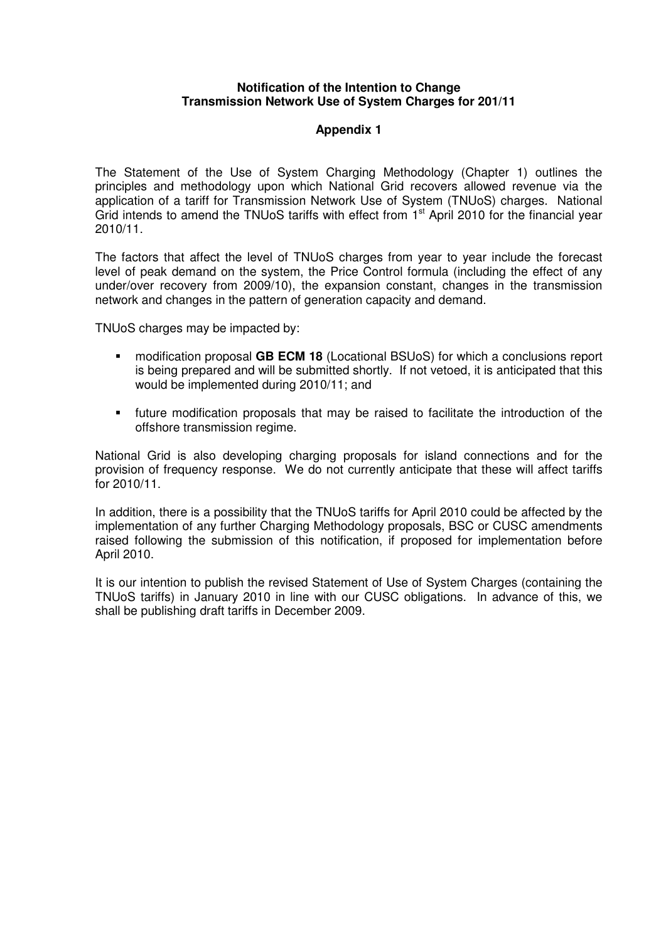#### **Notification of the Intention to Change Transmission Network Use of System Charges for 201/11**

## **Appendix 1**

The Statement of the Use of System Charging Methodology (Chapter 1) outlines the principles and methodology upon which National Grid recovers allowed revenue via the application of a tariff for Transmission Network Use of System (TNUoS) charges. National Grid intends to amend the TNUoS tariffs with effect from 1<sup>st</sup> April 2010 for the financial year 2010/11.

The factors that affect the level of TNUoS charges from year to year include the forecast level of peak demand on the system, the Price Control formula (including the effect of any under/over recovery from 2009/10), the expansion constant, changes in the transmission network and changes in the pattern of generation capacity and demand.

TNUoS charges may be impacted by:

- modification proposal **GB ECM 18** (Locational BSUoS) for which a conclusions report is being prepared and will be submitted shortly. If not vetoed, it is anticipated that this would be implemented during 2010/11; and
- future modification proposals that may be raised to facilitate the introduction of the offshore transmission regime.

National Grid is also developing charging proposals for island connections and for the provision of frequency response. We do not currently anticipate that these will affect tariffs for 2010/11.

In addition, there is a possibility that the TNUoS tariffs for April 2010 could be affected by the implementation of any further Charging Methodology proposals, BSC or CUSC amendments raised following the submission of this notification, if proposed for implementation before April 2010.

It is our intention to publish the revised Statement of Use of System Charges (containing the TNUoS tariffs) in January 2010 in line with our CUSC obligations. In advance of this, we shall be publishing draft tariffs in December 2009.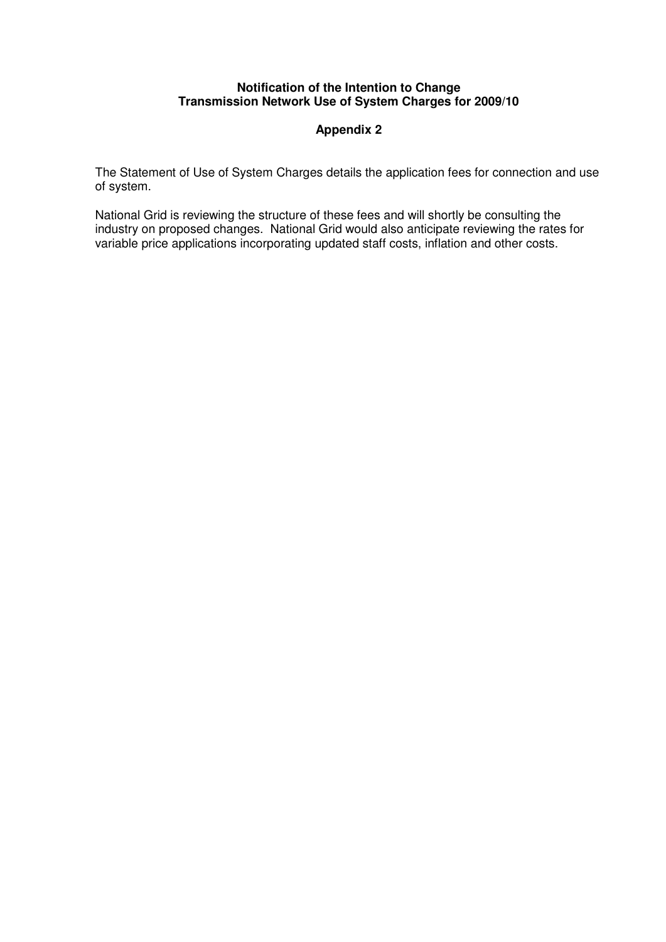#### **Notification of the Intention to Change Transmission Network Use of System Charges for 2009/10**

# **Appendix 2**

The Statement of Use of System Charges details the application fees for connection and use of system.

National Grid is reviewing the structure of these fees and will shortly be consulting the industry on proposed changes. National Grid would also anticipate reviewing the rates for variable price applications incorporating updated staff costs, inflation and other costs.